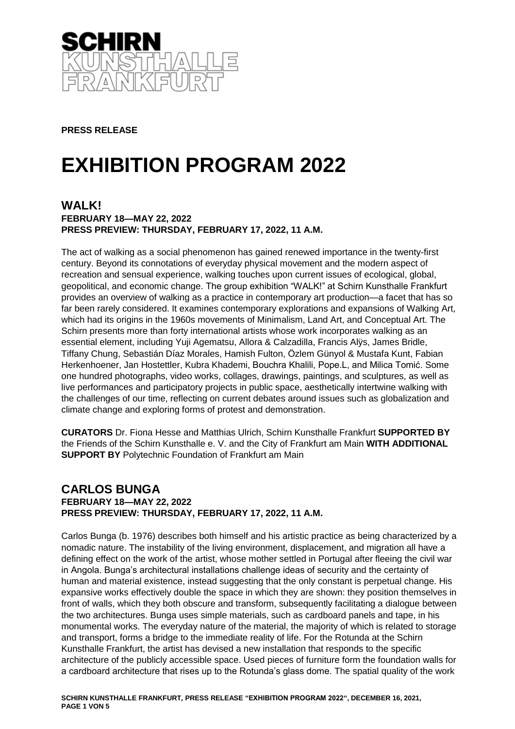

**PRESS RELEASE**

# **EXHIBITION PROGRAM 2022**

#### **WALK! FEBRUARY 18—MAY 22, 2022 PRESS PREVIEW: THURSDAY, FEBRUARY 17, 2022, 11 A.M.**

The act of walking as a social phenomenon has gained renewed importance in the twenty-first century. Beyond its connotations of everyday physical movement and the modern aspect of recreation and sensual experience, walking touches upon current issues of ecological, global, geopolitical, and economic change. The group exhibition "WALK!" at Schirn Kunsthalle Frankfurt provides an overview of walking as a practice in contemporary art production—a facet that has so far been rarely considered. It examines contemporary explorations and expansions of Walking Art, which had its origins in the 1960s movements of Minimalism, Land Art, and Conceptual Art. The Schirn presents more than forty international artists whose work incorporates walking as an essential element, including Yuji Agematsu, Allora & Calzadilla, Francis Alÿs, James Bridle, Tiffany Chung, Sebastián Díaz Morales, Hamish Fulton, Özlem Günyol & Mustafa Kunt, Fabian Herkenhoener, Jan Hostettler, Kubra Khademi, Bouchra Khalili, Pope.L, and Milica Tomić. Some one hundred photographs, video works, collages, drawings, paintings, and sculptures, as well as live performances and participatory projects in public space, aesthetically intertwine walking with the challenges of our time, reflecting on current debates around issues such as globalization and climate change and exploring forms of protest and demonstration.

**CURATORS** Dr. Fiona Hesse and Matthias Ulrich, Schirn Kunsthalle Frankfurt **SUPPORTED BY** the Friends of the Schirn Kunsthalle e. V. and the City of Frankfurt am Main **WITH ADDITIONAL SUPPORT BY** Polytechnic Foundation of Frankfurt am Main

### **CARLOS BUNGA FEBRUARY 18—MAY 22, 2022 PRESS PREVIEW: THURSDAY, FEBRUARY 17, 2022, 11 A.M.**

Carlos Bunga (b. 1976) describes both himself and his artistic practice as being characterized by a nomadic nature. The instability of the living environment, displacement, and migration all have a defining effect on the work of the artist, whose mother settled in Portugal after fleeing the civil war in Angola. Bunga's architectural installations challenge ideas of security and the certainty of human and material existence, instead suggesting that the only constant is perpetual change. His expansive works effectively double the space in which they are shown: they position themselves in front of walls, which they both obscure and transform, subsequently facilitating a dialogue between the two architectures. Bunga uses simple materials, such as cardboard panels and tape, in his monumental works. The everyday nature of the material, the majority of which is related to storage and transport, forms a bridge to the immediate reality of life. For the Rotunda at the Schirn Kunsthalle Frankfurt, the artist has devised a new installation that responds to the specific architecture of the publicly accessible space. Used pieces of furniture form the foundation walls for a cardboard architecture that rises up to the Rotunda's glass dome. The spatial quality of the work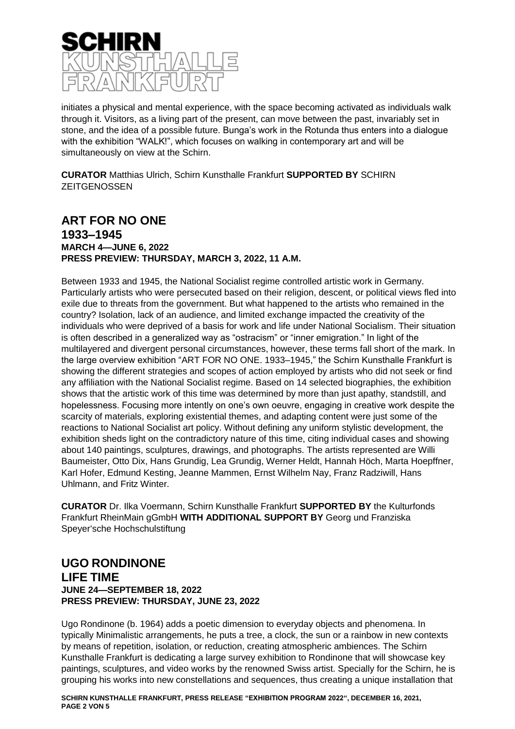

initiates a physical and mental experience, with the space becoming activated as individuals walk through it. Visitors, as a living part of the present, can move between the past, invariably set in stone, and the idea of a possible future. Bunga's work in the Rotunda thus enters into a dialogue with the exhibition "WALK!", which focuses on walking in contemporary art and will be simultaneously on view at the Schirn.

**CURATOR** Matthias Ulrich, Schirn Kunsthalle Frankfurt **SUPPORTED BY** SCHIRN **ZEITGENOSSEN** 

# **ART FOR NO ONE 1933–1945 MARCH 4—JUNE 6, 2022 PRESS PREVIEW: THURSDAY, MARCH 3, 2022, 11 A.M.**

Between 1933 and 1945, the National Socialist regime controlled artistic work in Germany. Particularly artists who were persecuted based on their religion, descent, or political views fled into exile due to threats from the government. But what happened to the artists who remained in the country? Isolation, lack of an audience, and limited exchange impacted the creativity of the individuals who were deprived of a basis for work and life under National Socialism. Their situation is often described in a generalized way as "ostracism" or "inner emigration." In light of the multilayered and divergent personal circumstances, however, these terms fall short of the mark. In the large overview exhibition "ART FOR NO ONE. 1933–1945," the Schirn Kunsthalle Frankfurt is showing the different strategies and scopes of action employed by artists who did not seek or find any affiliation with the National Socialist regime. Based on 14 selected biographies, the exhibition shows that the artistic work of this time was determined by more than just apathy, standstill, and hopelessness. Focusing more intently on one's own oeuvre, engaging in creative work despite the scarcity of materials, exploring existential themes, and adapting content were just some of the reactions to National Socialist art policy. Without defining any uniform stylistic development, the exhibition sheds light on the contradictory nature of this time, citing individual cases and showing about 140 paintings, sculptures, drawings, and photographs. The artists represented are Willi Baumeister, Otto Dix, Hans Grundig, Lea Grundig, Werner Heldt, Hannah Höch, Marta Hoepffner, Karl Hofer, Edmund Kesting, Jeanne Mammen, Ernst Wilhelm Nay, Franz Radziwill, Hans Uhlmann, and Fritz Winter.

**CURATOR** Dr. Ilka Voermann, Schirn Kunsthalle Frankfurt **SUPPORTED BY** the Kulturfonds Frankfurt RheinMain gGmbH **WITH ADDITIONAL SUPPORT BY** Georg und Franziska Speyer'sche Hochschulstiftung

#### **UGO RONDINONE LIFE TIME JUNE 24—SEPTEMBER 18, 2022 PRESS PREVIEW: THURSDAY, JUNE 23, 2022**

Ugo Rondinone (b. 1964) adds a poetic dimension to everyday objects and phenomena. In typically Minimalistic arrangements, he puts a tree, a clock, the sun or a rainbow in new contexts by means of repetition, isolation, or reduction, creating atmospheric ambiences. The Schirn Kunsthalle Frankfurt is dedicating a large survey exhibition to Rondinone that will showcase key paintings, sculptures, and video works by the renowned Swiss artist. Specially for the Schirn, he is grouping his works into new constellations and sequences, thus creating a unique installation that

**SCHIRN KUNSTHALLE FRANKFURT, PRESS RELEASE "EXHIBITION PROGRAM 2022", DECEMBER 16, 2021, PAGE 2 VON 5**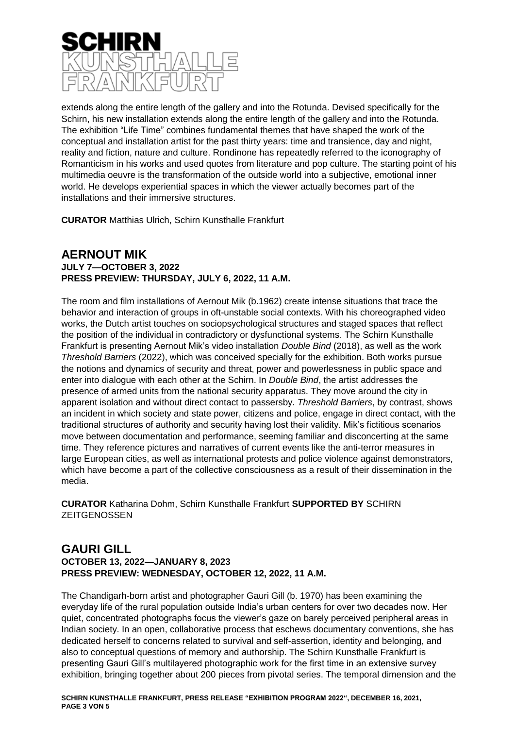

extends along the entire length of the gallery and into the Rotunda. Devised specifically for the Schirn, his new installation extends along the entire length of the gallery and into the Rotunda. The exhibition "Life Time" combines fundamental themes that have shaped the work of the conceptual and installation artist for the past thirty years: time and transience, day and night, reality and fiction, nature and culture. Rondinone has repeatedly referred to the iconography of Romanticism in his works and used quotes from literature and pop culture. The starting point of his multimedia oeuvre is the transformation of the outside world into a subjective, emotional inner world. He develops experiential spaces in which the viewer actually becomes part of the installations and their immersive structures.

**CURATOR** Matthias Ulrich, Schirn Kunsthalle Frankfurt

#### **AERNOUT MIK JULY 7—OCTOBER 3, 2022 PRESS PREVIEW: THURSDAY, JULY 6, 2022, 11 A.M.**

The room and film installations of Aernout Mik (b.1962) create intense situations that trace the behavior and interaction of groups in oft-unstable social contexts. With his choreographed video works, the Dutch artist touches on sociopsychological structures and staged spaces that reflect the position of the individual in contradictory or dysfunctional systems. The Schirn Kunsthalle Frankfurt is presenting Aernout Mik's video installation *Double Bind* (2018), as well as the work *Threshold Barriers* (2022), which was conceived specially for the exhibition. Both works pursue the notions and dynamics of security and threat, power and powerlessness in public space and enter into dialogue with each other at the Schirn. In *Double Bind*, the artist addresses the presence of armed units from the national security apparatus. They move around the city in apparent isolation and without direct contact to passersby. *Threshold Barriers*, by contrast, shows an incident in which society and state power, citizens and police, engage in direct contact, with the traditional structures of authority and security having lost their validity. Mik's fictitious scenarios move between documentation and performance, seeming familiar and disconcerting at the same time. They reference pictures and narratives of current events like the anti-terror measures in large European cities, as well as international protests and police violence against demonstrators, which have become a part of the collective consciousness as a result of their dissemination in the media.

**CURATOR** Katharina Dohm, Schirn Kunsthalle Frankfurt **SUPPORTED BY** SCHIRN **ZEITGENOSSEN** 

#### **GAURI GILL OCTOBER 13, 2022—JANUARY 8, 2023 PRESS PREVIEW: WEDNESDAY, OCTOBER 12, 2022, 11 A.M.**

The Chandigarh-born artist and photographer Gauri Gill (b. 1970) has been examining the everyday life of the rural population outside India's urban centers for over two decades now. Her quiet, concentrated photographs focus the viewer's gaze on barely perceived peripheral areas in Indian society. In an open, collaborative process that eschews documentary conventions, she has dedicated herself to concerns related to survival and self-assertion, identity and belonging, and also to conceptual questions of memory and authorship. The Schirn Kunsthalle Frankfurt is presenting Gauri Gill's multilayered photographic work for the first time in an extensive survey exhibition, bringing together about 200 pieces from pivotal series. The temporal dimension and the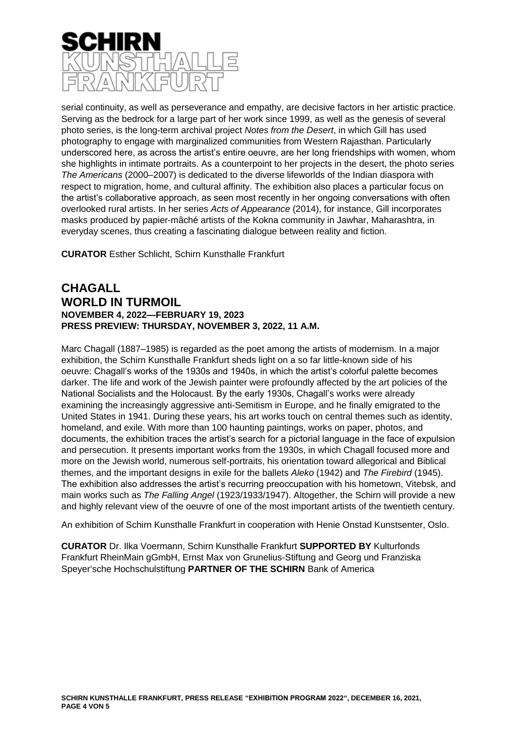

serial continuity, as well as perseverance and empathy, are decisive factors in her artistic practice. Serving as the bedrock for a large part of her work since 1999, as well as the genesis of several photo series, is the long-term archival project *Notes from the Desert*, in which Gill has used photography to engage with marginalized communities from Western Rajasthan. Particularly underscored here, as across the artist's entire oeuvre, are her long friendships with women, whom she highlights in intimate portraits. As a counterpoint to her projects in the desert, the photo series *The Americans* (2000–2007) is dedicated to the diverse lifeworlds of the Indian diaspora with respect to migration, home, and cultural affinity. The exhibition also places a particular focus on the artist's collaborative approach, as seen most recently in her ongoing conversations with often overlooked rural artists. In her series *Acts of Appearance* (2014), for instance, Gill incorporates masks produced by papier-mâché artists of the Kokna community in Jawhar, Maharashtra, in everyday scenes, thus creating a fascinating dialogue between reality and fiction.

**CURATOR** Esther Schlicht, Schirn Kunsthalle Frankfurt

#### **CHAGALL WORLD IN TURMOIL NOVEMBER 4, 2022—FEBRUARY 19, 2023 PRESS PREVIEW: THURSDAY, NOVEMBER 3, 2022, 11 A.M.**

Marc Chagall (1887–1985) is regarded as the poet among the artists of modernism. In a major exhibition, the Schirn Kunsthalle Frankfurt sheds light on a so far little-known side of his oeuvre: Chagall's works of the 1930s and 1940s, in which the artist's colorful palette becomes darker. The life and work of the Jewish painter were profoundly affected by the art policies of the National Socialists and the Holocaust. By the early 1930s, Chagall's works were already examining the increasingly aggressive anti-Semitism in Europe, and he finally emigrated to the United States in 1941. During these years, his art works touch on central themes such as identity, homeland, and exile. With more than 100 haunting paintings, works on paper, photos, and documents, the exhibition traces the artist's search for a pictorial language in the face of expulsion and persecution. It presents important works from the 1930s, in which Chagall focused more and more on the Jewish world, numerous self-portraits, his orientation toward allegorical and Biblical themes, and the important designs in exile for the ballets *Aleko* (1942) and *The Firebird* (1945). The exhibition also addresses the artist's recurring preoccupation with his hometown, Vitebsk, and main works such as *The Falling Angel* (1923/1933/1947). Altogether, the Schirn will provide a new and highly relevant view of the oeuvre of one of the most important artists of the twentieth century.

An exhibition of Schirn Kunsthalle Frankfurt in cooperation with Henie Onstad Kunstsenter, Oslo.

**CURATOR** Dr. Ilka Voermann, Schirn Kunsthalle Frankfurt **SUPPORTED BY** Kulturfonds Frankfurt RheinMain gGmbH, Ernst Max von Grunelius-Stiftung and Georg und Franziska Speyer'sche Hochschulstiftung **PARTNER OF THE SCHIRN** Bank of America